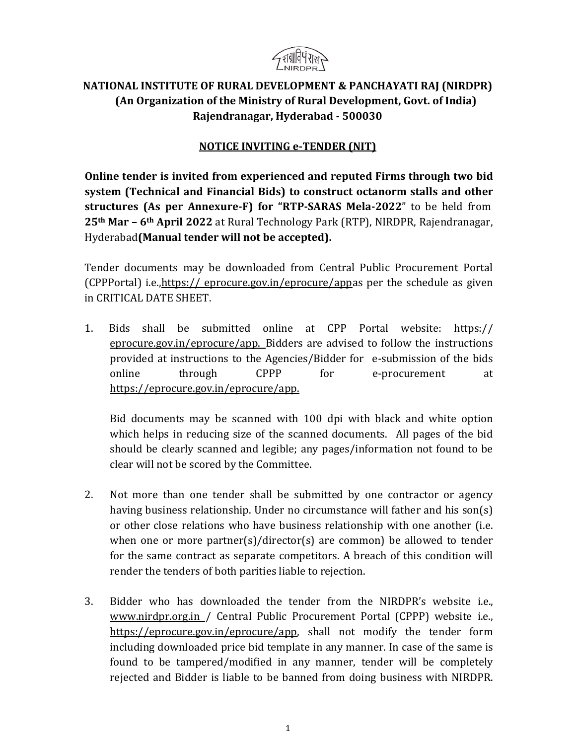

# **NATIONAL INSTITUTE OF RURAL DEVELOPMENT & PANCHAYATI RAJ (NIRDPR) (An Organization of the Ministry of Rural Development, Govt. of India) Rajendranagar, Hyderabad - 500030**

## **NOTICE INVITING e-TENDER (NIT)**

**Online tender is invited from experienced and reputed Firms through two bid system (Technical and Financial Bids) to construct octanorm stalls and other structures (As per Annexure-F) for "RTP-SARAS Mela-2022**" to be held from **25th Mar – 6th April 2022** at Rural Technology Park (RTP), NIRDPR, Rajendranagar, Hyderabad**(Manual tender will not be accepted).**

Tender documents may be downloaded from Central Public Procurement Portal (CPPPortal) i.e.,https:// eprocure.gov.in/eprocure/appas per the schedule as given in CRITICAL DATE SHEET.

1. Bids shall be submitted online at CPP Portal website: https:// eprocure.gov.in/eprocure/app. Bidders are advised to follow the instructions provided at instructions to the Agencies/Bidder for e-submission of the bids online through CPPP for e-procurement at [https://eprocure.gov.in/eprocure/app.](https://eprocure.gov.in/eprocure/app)

Bid documents may be scanned with 100 dpi with black and white option which helps in reducing size of the scanned documents. All pages of the bid should be clearly scanned and legible; any pages/information not found to be clear will not be scored by the Committee.

- 2. Not more than one tender shall be submitted by one contractor or agency having business relationship. Under no circumstance will father and his son(s) or other close relations who have business relationship with one another (i.e. when one or more partner(s)/director(s) are common) be allowed to tender for the same contract as separate competitors. A breach of this condition will render the tenders of both parities liable to rejection.
- 3. Bidder who has downloaded the tender from the NIRDPR's website i.e., [www.nirdpr.org.in](http://www.nirdpr.org.in/) / Central Public Procurement Portal (CPPP) website i.e., [https://eprocure.gov.in/eprocure/app,](https://eprocure.gov.in/eprocure/app) shall not modify the tender form including downloaded price bid template in any manner. In case of the same is found to be tampered/modified in any manner, tender will be completely rejected and Bidder is liable to be banned from doing business with NIRDPR.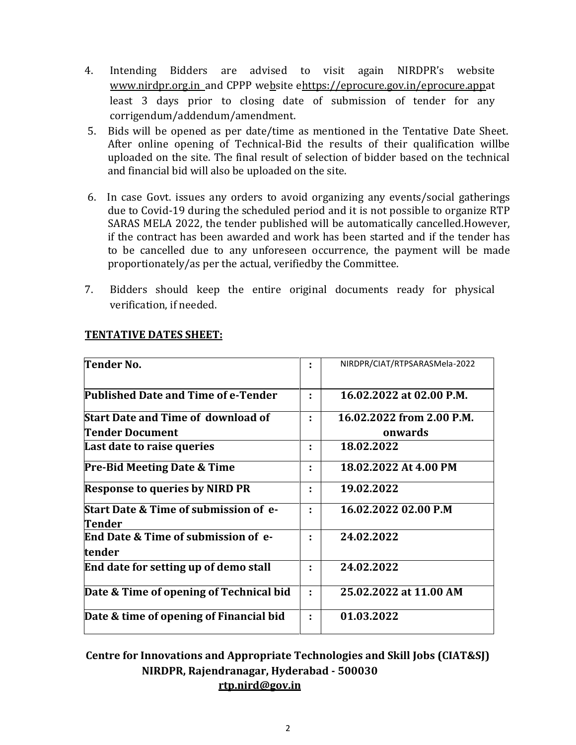- 4. Intending Bidders are advised to visit again NIRDPR's website [www.nirdpr.org.in](http://www.nirdpr.org.in/) and CPPP website [ehttps://eprocure.gov.in/eprocure.appat](https://eprocure.gov.in/eprocure.app) least 3 days prior to closing date of submission of tender for any corrigendum/addendum/amendment.
- 5. Bids will be opened as per date/time as mentioned in the Tentative Date Sheet. After online opening of Technical-Bid the results of their qualification willbe uploaded on the site. The final result of selection of bidder based on the technical and financial bid will also be uploaded on the site.
- 6. In case Govt. issues any orders to avoid organizing any events/social gatherings due to Covid-19 during the scheduled period and it is not possible to organize RTP SARAS MELA 2022, the tender published will be automatically cancelled.However, if the contract has been awarded and work has been started and if the tender has to be cancelled due to any unforeseen occurrence, the payment will be made proportionately/as per the actual, verifiedby the Committee.
- 7. Bidders should keep the entire original documents ready for physical verification, if needed.

| Tender No.                                                        |   | NIRDPR/CIAT/RTPSARASMela-2022 |
|-------------------------------------------------------------------|---|-------------------------------|
| Published Date and Time of e-Tender                               |   | 16.02.2022 at 02.00 P.M.      |
| <b>Start Date and Time of download of</b>                         |   | 16.02.2022 from 2.00 P.M.     |
| <b>Tender Document</b>                                            |   | onwards                       |
| Last date to raise queries                                        | ٠ | 18.02.2022                    |
| <b>Pre-Bid Meeting Date &amp; Time</b>                            | ÷ | 18.02.2022 At 4.00 PM         |
| <b>Response to queries by NIRD PR</b>                             | ٠ | 19.02.2022                    |
| <b>Start Date &amp; Time of submission of e-</b><br><b>Tender</b> |   | 16.02.2022 02.00 P.M          |
| <b>End Date &amp; Time of submission of e-</b><br>tender          |   | 24.02.2022                    |
| End date for setting up of demo stall                             |   | 24.02.2022                    |
| Date & Time of opening of Technical bid                           | ÷ | 25.02.2022 at 11.00 AM        |
| Date & time of opening of Financial bid                           |   | 01.03.2022                    |

### **TENTATIVE DATES SHEET:**

**Centre for Innovations and Appropriate Technologies and Skill Jobs (CIAT&SJ) NIRDPR, Rajendranagar, Hyderabad - 500030 [rtp.nird@gov.i](mailto:rtp.nird@g)n**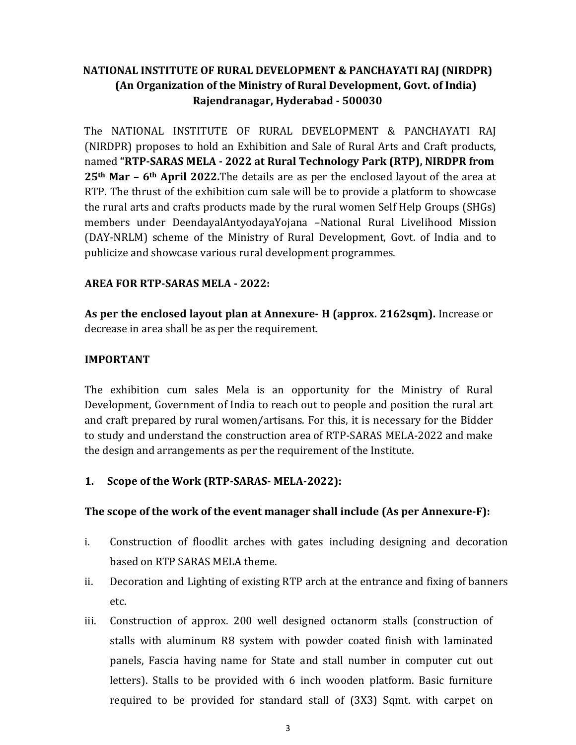# **NATIONAL INSTITUTE OF RURAL DEVELOPMENT & PANCHAYATI RAJ (NIRDPR) (An Organization of the Ministry of Rural Development, Govt. of India) Rajendranagar, Hyderabad - 500030**

The NATIONAL INSTITUTE OF RURAL DEVELOPMENT & PANCHAYATI RAJ (NIRDPR) proposes to hold an Exhibition and Sale of Rural Arts and Craft products, named **"RTP-SARAS MELA - 2022 at Rural Technology Park (RTP), NIRDPR from 25th Mar – 6th April 2022.**The details are as per the enclosed layout of the area at RTP. The thrust of the exhibition cum sale will be to provide a platform to showcase the rural arts and crafts products made by the rural women Self Help Groups (SHGs) members under DeendayalAntyodayaYojana –National Rural Livelihood Mission (DAY-NRLM) scheme of the Ministry of Rural Development, Govt. of India and to publicize and showcase various rural development programmes.

## **AREA FOR RTP-SARAS MELA - 2022:**

**As per the enclosed layout plan at Annexure- H (approx. 2162sqm).** Increase or decrease in area shall be as per the requirement.

## **IMPORTANT**

The exhibition cum sales Mela is an opportunity for the Ministry of Rural Development, Government of India to reach out to people and position the rural art and craft prepared by rural women/artisans. For this, it is necessary for the Bidder to study and understand the construction area of RTP-SARAS MELA-2022 and make the design and arrangements as per the requirement of the Institute.

## **1. Scope of the Work (RTP-SARAS- MELA-2022):**

### **The scope of the work of the event manager shall include (As per Annexure-F):**

- i. Construction of floodlit arches with gates including designing and decoration based on RTP SARAS MELA theme.
- ii. Decoration and Lighting of existing RTP arch at the entrance and fixing of banners etc.
- iii. Construction of approx. 200 well designed octanorm stalls (construction of stalls with aluminum R8 system with powder coated finish with laminated panels, Fascia having name for State and stall number in computer cut out letters). Stalls to be provided with 6 inch wooden platform. Basic furniture required to be provided for standard stall of (3X3) Sqmt. with carpet on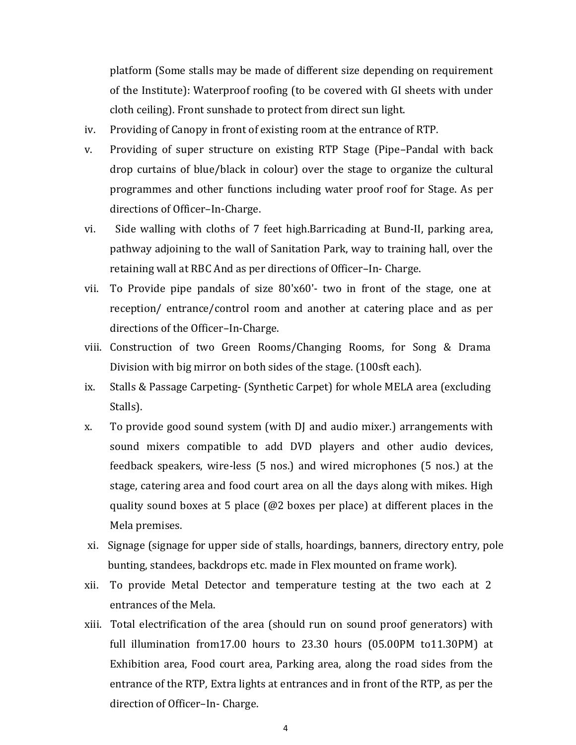platform (Some stalls may be made of different size depending on requirement of the Institute): Waterproof roofing (to be covered with GI sheets with under cloth ceiling). Front sunshade to protect from direct sun light.

- iv. Providing of Canopy in front of existing room at the entrance of RTP.
- v. Providing of super structure on existing RTP Stage (Pipe–Pandal with back drop curtains of blue/black in colour) over the stage to organize the cultural programmes and other functions including water proof roof for Stage. As per directions of Officer–In-Charge.
- vi. Side walling with cloths of 7 feet high.Barricading at Bund-II, parking area, pathway adjoining to the wall of Sanitation Park, way to training hall, over the retaining wall at RBC And as per directions of Officer–In- Charge.
- vii. To Provide pipe pandals of size 80'x60'- two in front of the stage, one at reception/ entrance/control room and another at catering place and as per directions of the Officer–In-Charge.
- viii. Construction of two Green Rooms/Changing Rooms, for Song & Drama Division with big mirror on both sides of the stage. (100sft each).
- ix. Stalls & Passage Carpeting- (Synthetic Carpet) for whole MELA area (excluding Stalls).
- x. To provide good sound system (with DJ and audio mixer.) arrangements with sound mixers compatible to add DVD players and other audio devices, feedback speakers, wire-less (5 nos.) and wired microphones (5 nos.) at the stage, catering area and food court area on all the days along with mikes. High quality sound boxes at 5 place [\(@2 boxes](mailto:@2) per place) at different places in the [Mela premises.](mailto:@2)
- xi. Signage (signage for upper side of stalls, hoardings, banners, directory entry, pole bunting, standees, backdrops etc. made in Flex mounted on frame work).
- xii. To provide Metal Detector and temperature testing at the two each at 2 entrances of the Mela.
- xiii. Total electrification of the area (should run on sound proof generators) with full illumination from17.00 hours to 23.30 hours (05.00PM to11.30PM) at Exhibition area, Food court area, Parking area, along the road sides from the entrance of the RTP, Extra lights at entrances and in front of the RTP, as per the direction of Officer–In- Charge.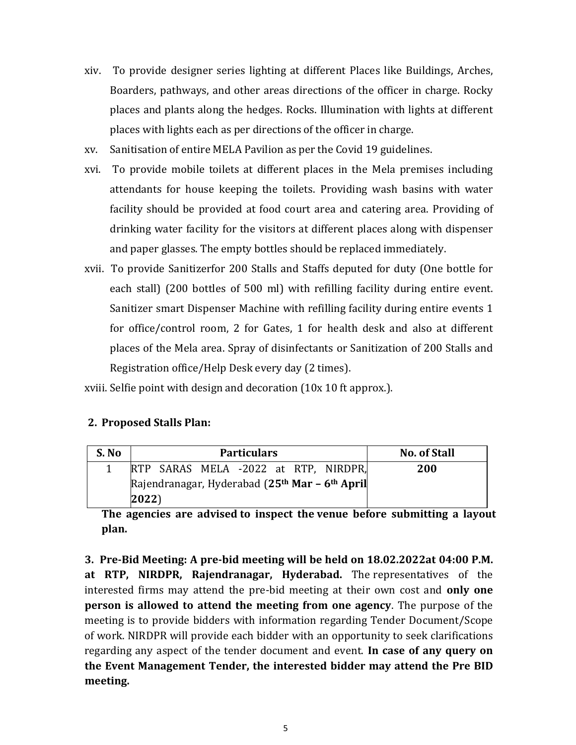- xiv. To provide designer series lighting at different Places like Buildings, Arches, Boarders, pathways, and other areas directions of the officer in charge. Rocky places and plants along the hedges. Rocks. Illumination with lights at different places with lights each as per directions of the officer in charge.
- xv. Sanitisation of entire MELA Pavilion as per the Covid 19 guidelines.
- xvi. To provide mobile toilets at different places in the Mela premises including attendants for house keeping the toilets. Providing wash basins with water facility should be provided at food court area and catering area. Providing of drinking water facility for the visitors at different places along with dispenser and paper glasses. The empty bottles should be replaced immediately.
- xvii. To provide Sanitizerfor 200 Stalls and Staffs deputed for duty (One bottle for each stall) (200 bottles of 500 ml) with refilling facility during entire event. Sanitizer smart Dispenser Machine with refilling facility during entire events 1 for office/control room, 2 for Gates, 1 for health desk and also at different places of the Mela area. Spray of disinfectants or Sanitization of 200 Stalls and Registration office/Help Desk every day (2 times).

xviii. Selfie point with design and decoration (10x 10 ft approx.).

## **2. Proposed Stalls Plan:**

| S. No | <b>Particulars</b>                                                     | <b>No. of Stall</b> |
|-------|------------------------------------------------------------------------|---------------------|
|       | RTP SARAS MELA -2022 at RTP, NIRDPR,                                   | 200                 |
|       | Rajendranagar, Hyderabad (25 <sup>th</sup> Mar - 6 <sup>th</sup> April |                     |
|       | $ 2022\rangle$                                                         |                     |

**The agencies are advised to inspect the venue before submitting a layout plan.**

**3. Pre-Bid Meeting: A pre-bid meeting will be held on 18.02.2022at 04:00 P.M. at RTP, NIRDPR, Rajendranagar, Hyderabad.** The representatives of the interested firms may attend the pre-bid meeting at their own cost and **only one person is allowed to attend the meeting from one agency**. The purpose of the meeting is to provide bidders with information regarding Tender Document/Scope of work. NIRDPR will provide each bidder with an opportunity to seek clarifications regarding any aspect of the tender document and event. **In case of any query on the Event Management Tender, the interested bidder may attend the Pre BID meeting.**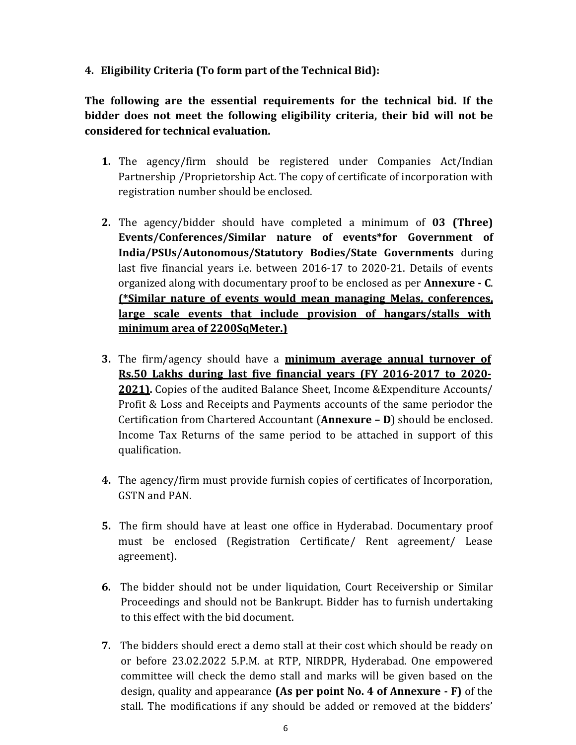**4. Eligibility Criteria (To form part of the Technical Bid):**

**The following are the essential requirements for the technical bid. If the bidder does not meet the following eligibility criteria, their bid will not be considered for technical evaluation.**

- **1.** The agency/firm should be registered under Companies Act/Indian Partnership /Proprietorship Act. The copy of certificate of incorporation with registration number should be enclosed.
- **2.** The agency/bidder should have completed a minimum of **03 (Three) Events/Conferences/Similar nature of events\*for Government of India/PSUs/Autonomous/Statutory Bodies/State Governments** during last five financial years i.e. between 2016-17 to 2020-21. Details of events organized along with documentary proof to be enclosed as per **Annexure - C**. **(\*Similar nature of events would mean managing Melas, conferences, large scale events that include provision of hangars/stalls with minimum area of 2200SqMeter.)**
- **3.** The firm/agency should have a **minimum average annual turnover of Rs.50 Lakhs during last five financial years (FY 2016-2017 to 2020- 2021).** Copies of the audited Balance Sheet, Income &Expenditure Accounts/ Profit & Loss and Receipts and Payments accounts of the same periodor the Certification from Chartered Accountant (**Annexure – D**) should be enclosed. Income Tax Returns of the same period to be attached in support of this qualification.
- **4.** The agency/firm must provide furnish copies of certificates of Incorporation, GSTN and PAN.
- **5.** The firm should have at least one office in Hyderabad. Documentary proof must be enclosed (Registration Certificate/ Rent agreement/ Lease agreement).
- **6.** The bidder should not be under liquidation, Court Receivership or Similar Proceedings and should not be Bankrupt. Bidder has to furnish undertaking to this effect with the bid document.
- **7.** The bidders should erect a demo stall at their cost which should be ready on or before 23.02.2022 5.P.M. at RTP, NIRDPR, Hyderabad. One empowered committee will check the demo stall and marks will be given based on the design, quality and appearance **(As per point No. 4 of Annexure - F)** of the stall. The modifications if any should be added or removed at the bidders'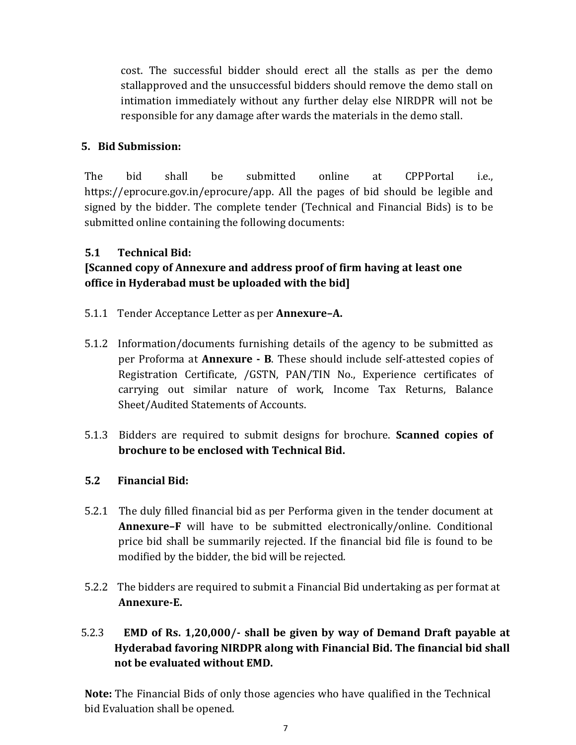cost. The successful bidder should erect all the stalls as per the demo stallapproved and the unsuccessful bidders should remove the demo stall on intimation immediately without any further delay else NIRDPR will not be responsible for any damage after wards the materials in the demo stall.

## **5. Bid Submission:**

The bid shall be submitted online at CPPPortal i.e., https://eprocure.gov.in/eprocure/app. All the pages of bid should be legible and signed by the bidder. The complete tender (Technical and Financial Bids) is to be submitted online containing the following documents:

## **5.1 Technical Bid:**

# **[Scanned copy of Annexure and address proof of firm having at least one office in Hyderabad must be uploaded with the bid]**

- 5.1.1 Tender Acceptance Letter as per **Annexure–A.**
- 5.1.2 Information/documents furnishing details of the agency to be submitted as per Proforma at **Annexure - B**. These should include self-attested copies of Registration Certificate, /GSTN, PAN/TIN No., Experience certificates of carrying out similar nature of work, Income Tax Returns, Balance Sheet/Audited Statements of Accounts.
- 5.1.3 Bidders are required to submit designs for brochure. **Scanned copies of brochure to be enclosed with Technical Bid.**

### **5.2 Financial Bid:**

- 5.2.1 The duly filled financial bid as per Performa given in the tender document at **Annexure–F** will have to be submitted electronically/online. Conditional price bid shall be summarily rejected. If the financial bid file is found to be modified by the bidder, the bid will be rejected.
- 5.2.2 The bidders are required to submit a Financial Bid undertaking as per format at **Annexure-E.**

# 5.2.3 **EMD of Rs. 1,20,000/- shall be given by way of Demand Draft payable at Hyderabad favoring NIRDPR along with Financial Bid. The financial bid shall not be evaluated without EMD.**

**Note:** The Financial Bids of only those agencies who have qualified in the Technical bid Evaluation shall be opened.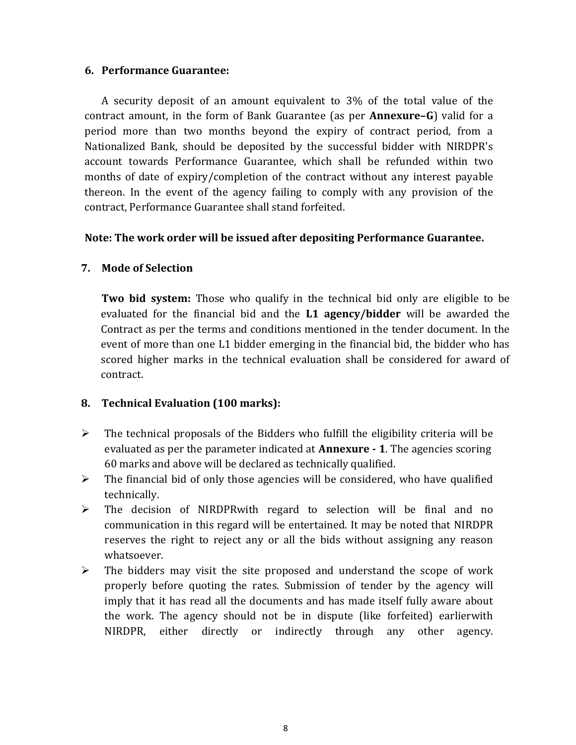#### **6. Performance Guarantee:**

A security deposit of an amount equivalent to 3% of the total value of the contract amount, in the form of Bank Guarantee (as per **Annexure–G**) valid for a period more than two months beyond the expiry of contract period, from a Nationalized Bank, should be deposited by the successful bidder with NIRDPR's account towards Performance Guarantee, which shall be refunded within two months of date of expiry/completion of the contract without any interest payable thereon. In the event of the agency failing to comply with any provision of the contract, Performance Guarantee shall stand forfeited.

### **Note: The work order will be issued after depositing Performance Guarantee.**

### **7. Mode of Selection**

**Two bid system:** Those who qualify in the technical bid only are eligible to be evaluated for the financial bid and the **L1 agency/bidder** will be awarded the Contract as per the terms and conditions mentioned in the tender document. In the event of more than one L1 bidder emerging in the financial bid, the bidder who has scored higher marks in the technical evaluation shall be considered for award of contract.

### **8. Technical Evaluation (100 marks):**

- $\triangleright$  The technical proposals of the Bidders who fulfill the eligibility criteria will be evaluated as per the parameter indicated at **Annexure - 1**. The agencies scoring 60 marks and above will be declared as technically qualified.
- $\triangleright$  The financial bid of only those agencies will be considered, who have qualified technically.
- $\triangleright$  The decision of NIRDPRwith regard to selection will be final and no communication in this regard will be entertained. It may be noted that NIRDPR reserves the right to reject any or all the bids without assigning any reason whatsoever.
- $\triangleright$  The bidders may visit the site proposed and understand the scope of work properly before quoting the rates. Submission of tender by the agency will imply that it has read all the documents and has made itself fully aware about the work. The agency should not be in dispute (like forfeited) earlierwith NIRDPR, either directly or indirectly through any other agency.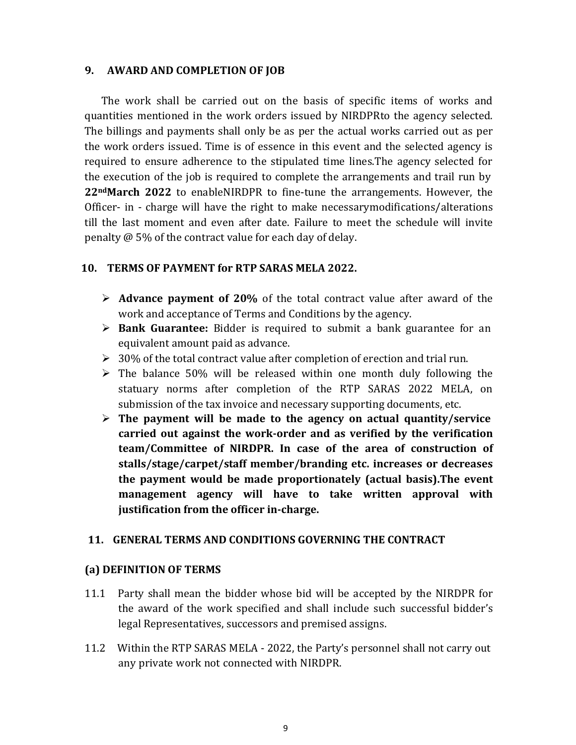#### **9. AWARD AND COMPLETION OF JOB**

The work shall be carried out on the basis of specific items of works and quantities mentioned in the work orders issued by NIRDPRto the agency selected. The billings and payments shall only be as per the actual works carried out as per the work orders issued. Time is of essence in this event and the selected agency is required to ensure adherence to the stipulated time lines.The agency selected for the execution of the job is required to complete the arrangements and trail run by **22ndMarch 2022** to enableNIRDPR to fine-tune the arrangements. However, the Officer- in - charge will have the right to make necessarymodifications/alterations till the last moment and even after date. Failure to meet the schedule will invite penalty @ 5% of the contract value for each day of delay.

### **10. TERMS OF PAYMENT for RTP SARAS MELA 2022.**

- **Advance payment of 20%** of the total contract value after award of the work and acceptance of Terms and Conditions by the agency.
- **Bank Guarantee:** Bidder is required to submit a bank guarantee for an equivalent amount paid as advance.
- $\geq 30\%$  of the total contract value after completion of erection and trial run.
- $\triangleright$  The balance 50% will be released within one month duly following the statuary norms after completion of the RTP SARAS 2022 MELA, on submission of the tax invoice and necessary supporting documents, etc.
- **The payment will be made to the agency on actual quantity/service carried out against the work-order and as verified by the verification team/Committee of NIRDPR. In case of the area of construction of stalls/stage/carpet/staff member/branding etc. increases or decreases the payment would be made proportionately (actual basis).The event management agency will have to take written approval with justification from the officer in-charge.**

### **11. GENERAL TERMS AND CONDITIONS GOVERNING THE CONTRACT**

#### **(a) DEFINITION OF TERMS**

- 11.1 Party shall mean the bidder whose bid will be accepted by the NIRDPR for the award of the work specified and shall include such successful bidder's legal Representatives, successors and premised assigns.
- 11.2 Within the RTP SARAS MELA 2022, the Party's personnel shall not carry out any private work not connected with NIRDPR.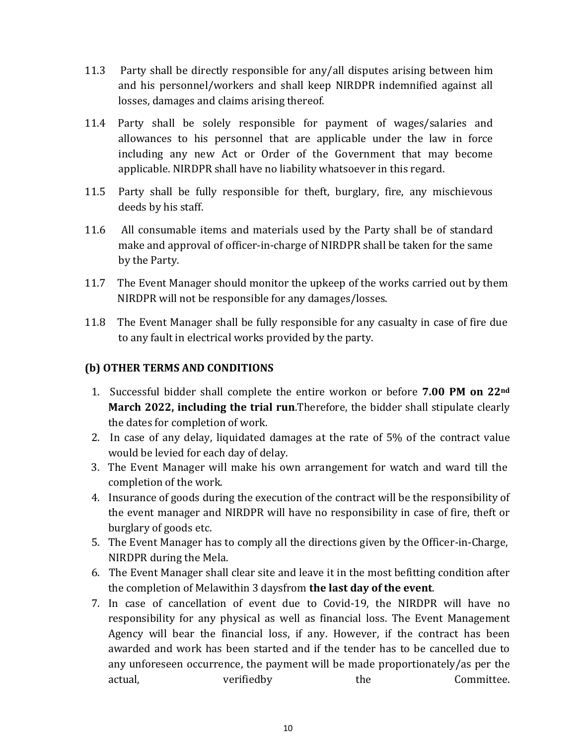- 11.3 Party shall be directly responsible for any/all disputes arising between him and his personnel/workers and shall keep NIRDPR indemnified against all losses, damages and claims arising thereof.
- 11.4 Party shall be solely responsible for payment of wages/salaries and allowances to his personnel that are applicable under the law in force including any new Act or Order of the Government that may become applicable. NIRDPR shall have no liability whatsoever in this regard.
- 11.5 Party shall be fully responsible for theft, burglary, fire, any mischievous deeds by his staff.
- 11.6 All consumable items and materials used by the Party shall be of standard make and approval of officer-in-charge of NIRDPR shall be taken for the same by the Party.
- 11.7 The Event Manager should monitor the upkeep of the works carried out by them NIRDPR will not be responsible for any damages/losses.
- 11.8 The Event Manager shall be fully responsible for any casualty in case of fire due to any fault in electrical works provided by the party.

## **(b) OTHER TERMS AND CONDITIONS**

- 1. Successful bidder shall complete the entire workon or before **7.00 PM on 22nd March 2022, including the trial run**.Therefore, the bidder shall stipulate clearly the dates for completion of work.
- 2. In case of any delay, liquidated damages at the rate of 5% of the contract value would be levied for each day of delay.
- 3. The Event Manager will make his own arrangement for watch and ward till the completion of the work.
- 4. Insurance of goods during the execution of the contract will be the responsibility of the event manager and NIRDPR will have no responsibility in case of fire, theft or burglary of goods etc.
- 5. The Event Manager has to comply all the directions given by the Officer-in-Charge, NIRDPR during the Mela.
- 6. The Event Manager shall clear site and leave it in the most befitting condition after the completion of Melawithin 3 daysfrom **the last day of the event**.
- 7. In case of cancellation of event due to Covid-19, the NIRDPR will have no responsibility for any physical as well as financial loss. The Event Management Agency will bear the financial loss, if any. However, if the contract has been awarded and work has been started and if the tender has to be cancelled due to any unforeseen occurrence, the payment will be made proportionately/as per the actual,  $verified by$  the Committee.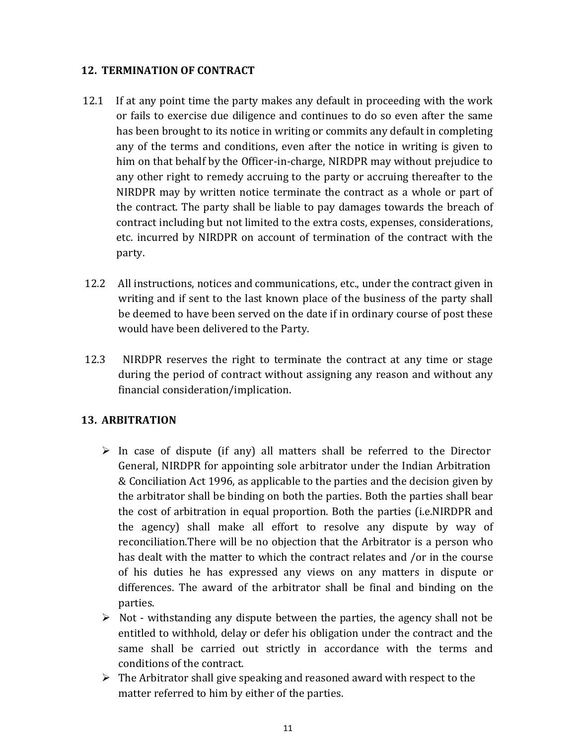## **12. TERMINATION OF CONTRACT**

- 12.1 If at any point time the party makes any default in proceeding with the work or fails to exercise due diligence and continues to do so even after the same has been brought to its notice in writing or commits any default in completing any of the terms and conditions, even after the notice in writing is given to him on that behalf by the Officer-in-charge, NIRDPR may without prejudice to any other right to remedy accruing to the party or accruing thereafter to the NIRDPR may by written notice terminate the contract as a whole or part of the contract. The party shall be liable to pay damages towards the breach of contract including but not limited to the extra costs, expenses, considerations, etc. incurred by NIRDPR on account of termination of the contract with the party.
- 12.2 All instructions, notices and communications, etc., under the contract given in writing and if sent to the last known place of the business of the party shall be deemed to have been served on the date if in ordinary course of post these would have been delivered to the Party.
- 12.3 NIRDPR reserves the right to terminate the contract at any time or stage during the period of contract without assigning any reason and without any financial consideration/implication.

## **13. ARBITRATION**

- $\triangleright$  In case of dispute (if any) all matters shall be referred to the Director General, NIRDPR for appointing sole arbitrator under the Indian Arbitration & Conciliation Act 1996, as applicable to the parties and the decision given by the arbitrator shall be binding on both the parties. Both the parties shall bear the cost of arbitration in equal proportion. Both the parties (i.e.NIRDPR and the agency) shall make all effort to resolve any dispute by way of reconciliation.There will be no objection that the Arbitrator is a person who has dealt with the matter to which the contract relates and /or in the course of his duties he has expressed any views on any matters in dispute or differences. The award of the arbitrator shall be final and binding on the parties.
- $\triangleright$  Not withstanding any dispute between the parties, the agency shall not be entitled to withhold, delay or defer his obligation under the contract and the same shall be carried out strictly in accordance with the terms and conditions of the contract.
- $\triangleright$  The Arbitrator shall give speaking and reasoned award with respect to the matter referred to him by either of the parties.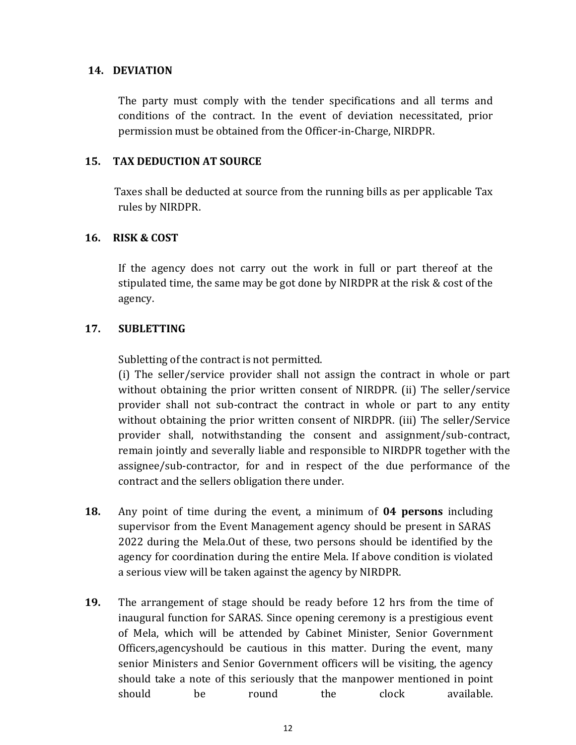#### **14. DEVIATION**

The party must comply with the tender specifications and all terms and conditions of the contract. In the event of deviation necessitated, prior permission must be obtained from the Officer-in-Charge, NIRDPR.

#### **15. TAX DEDUCTION AT SOURCE**

Taxes shall be deducted at source from the running bills as per applicable Tax rules by NIRDPR.

#### **16. RISK & COST**

If the agency does not carry out the work in full or part thereof at the stipulated time, the same may be got done by NIRDPR at the risk & cost of the agency.

#### **17. SUBLETTING**

Subletting of the contract is not permitted.

(i) The seller/service provider shall not assign the contract in whole or part without obtaining the prior written consent of NIRDPR. (ii) The seller/service provider shall not sub-contract the contract in whole or part to any entity without obtaining the prior written consent of NIRDPR. (iii) The seller/Service provider shall, notwithstanding the consent and assignment/sub-contract, remain jointly and severally liable and responsible to NIRDPR together with the assignee/sub-contractor, for and in respect of the due performance of the contract and the sellers obligation there under.

- **18.** Any point of time during the event, a minimum of **04 persons** including supervisor from the Event Management agency should be present in SARAS 2022 during the Mela.Out of these, two persons should be identified by the agency for coordination during the entire Mela. If above condition is violated a serious view will be taken against the agency by NIRDPR.
- **19.** The arrangement of stage should be ready before 12 hrs from the time of inaugural function for SARAS. Since opening ceremony is a prestigious event of Mela, which will be attended by Cabinet Minister, Senior Government Officers,agencyshould be cautious in this matter. During the event, many senior Ministers and Senior Government officers will be visiting, the agency should take a note of this seriously that the manpower mentioned in point should be round the clock available.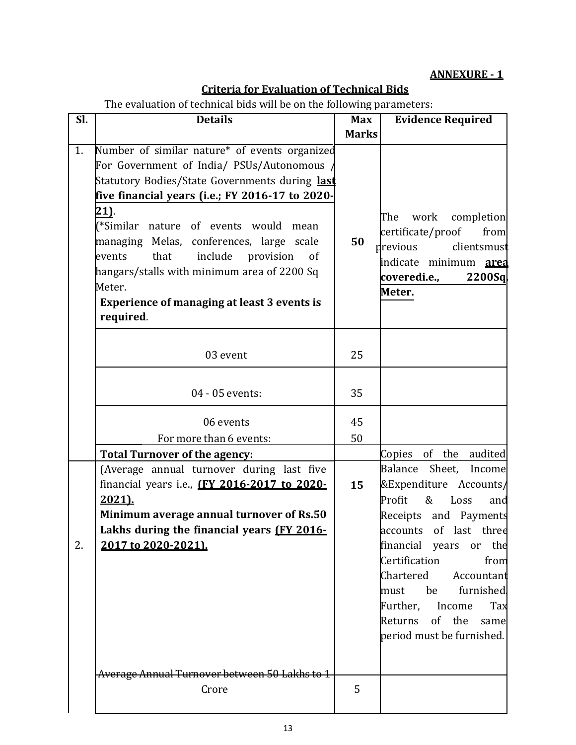## **ANNEXURE - 1**

# **Criteria for Evaluation of Technical Bids**

The evaluation of technical bids will be on the following parameters:

| $\overline{\text{SL}}$ | <b>Details</b>                                                                                                                                                                                                                                                                                                                                                                                                                                                                        | <b>Max</b>   | <b>Evidence Required</b>                                                                                                                                                                                                                                                                                    |
|------------------------|---------------------------------------------------------------------------------------------------------------------------------------------------------------------------------------------------------------------------------------------------------------------------------------------------------------------------------------------------------------------------------------------------------------------------------------------------------------------------------------|--------------|-------------------------------------------------------------------------------------------------------------------------------------------------------------------------------------------------------------------------------------------------------------------------------------------------------------|
|                        |                                                                                                                                                                                                                                                                                                                                                                                                                                                                                       | <b>Marks</b> |                                                                                                                                                                                                                                                                                                             |
| $\overline{1}$ .       | Number of similar nature* of events organized<br>For Government of India/ PSUs/Autonomous<br>Statutory Bodies/State Governments during last<br>five financial years (i.e.; FY 2016-17 to 2020-<br>21).<br>(*Similar nature of events would<br>mean<br>managing Melas, conferences, large scale<br>include<br>that<br>provision<br>events<br><sub>of</sub><br>hangars/stalls with minimum area of 2200 Sq<br>Meter.<br><b>Experience of managing at least 3 events is</b><br>required. | 50           | The<br>work<br>completion<br>certificate/proof<br>from<br>previous<br>clientsmust<br>indicate minimum <b>area</b><br>coveredi.e.,<br>2200Sql<br>Meter.                                                                                                                                                      |
|                        | 03 event                                                                                                                                                                                                                                                                                                                                                                                                                                                                              | 25           |                                                                                                                                                                                                                                                                                                             |
|                        | 04 - 05 events:                                                                                                                                                                                                                                                                                                                                                                                                                                                                       | 35           |                                                                                                                                                                                                                                                                                                             |
|                        | 06 events                                                                                                                                                                                                                                                                                                                                                                                                                                                                             | 45           |                                                                                                                                                                                                                                                                                                             |
|                        | For more than 6 events:                                                                                                                                                                                                                                                                                                                                                                                                                                                               | 50           |                                                                                                                                                                                                                                                                                                             |
|                        | <b>Total Turnover of the agency:</b>                                                                                                                                                                                                                                                                                                                                                                                                                                                  |              | Copies of the audited                                                                                                                                                                                                                                                                                       |
| 2.                     | (Average annual turnover during last five<br>financial years i.e., (FY 2016-2017 to 2020-<br>2021).<br>Minimum average annual turnover of Rs.50<br>Lakhs during the financial years (FY 2016-<br>2017 to 2020-2021).                                                                                                                                                                                                                                                                  | 15           | Balance<br>Sheet,<br>Income<br>&Expenditure Accounts/<br>Profit<br>& Loss<br>and<br>Receipts and Payments<br>accounts of last three<br>financial years or the<br>Certification from<br>Chartered Accountant<br>must be furnished<br>Further, Income Tax<br>Returns of the same<br>period must be furnished. |
|                        | Average Annual Turnover between 50 Lakhs to 1<br>Crore                                                                                                                                                                                                                                                                                                                                                                                                                                | 5            |                                                                                                                                                                                                                                                                                                             |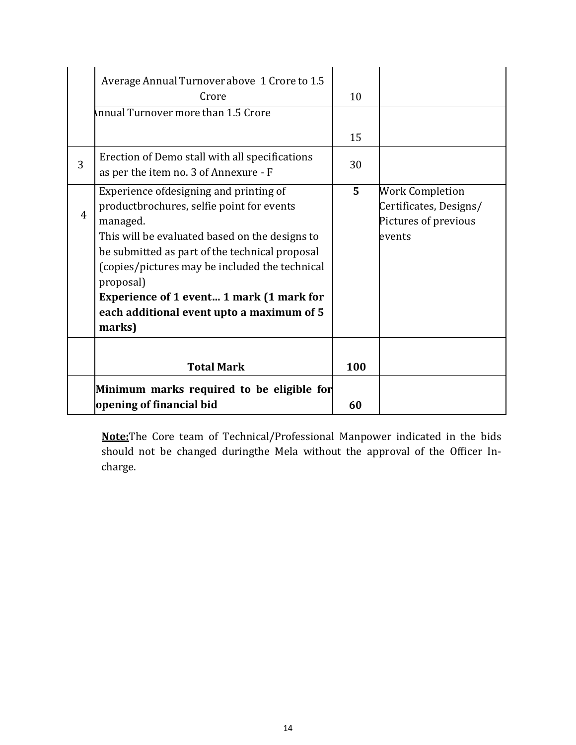|   | Average Annual Turnover above 1 Crore to 1.5<br>Crore<br>Innual Turnover more than 1.5 Crore                                                                                                                                                                                                                                                                          | 10             |                                                                                    |
|---|-----------------------------------------------------------------------------------------------------------------------------------------------------------------------------------------------------------------------------------------------------------------------------------------------------------------------------------------------------------------------|----------------|------------------------------------------------------------------------------------|
|   |                                                                                                                                                                                                                                                                                                                                                                       | 15             |                                                                                    |
| 3 | Erection of Demo stall with all specifications<br>as per the item no. 3 of Annexure - F                                                                                                                                                                                                                                                                               | 30             |                                                                                    |
| 4 | Experience ofdesigning and printing of<br>productbrochures, selfie point for events<br>managed.<br>This will be evaluated based on the designs to<br>be submitted as part of the technical proposal<br>(copies/pictures may be included the technical<br>proposal)<br>Experience of 1 event 1 mark (1 mark for<br>each additional event upto a maximum of 5<br>marks) | 5 <sup>5</sup> | <b>Work Completion</b><br>Certificates, Designs/<br>Pictures of previous<br>events |
|   | <b>Total Mark</b>                                                                                                                                                                                                                                                                                                                                                     | 100            |                                                                                    |
|   | Minimum marks required to be eligible for<br>opening of financial bid                                                                                                                                                                                                                                                                                                 | 60             |                                                                                    |

**Note:**The Core team of Technical/Professional Manpower indicated in the bids should not be changed duringthe Mela without the approval of the Officer Incharge.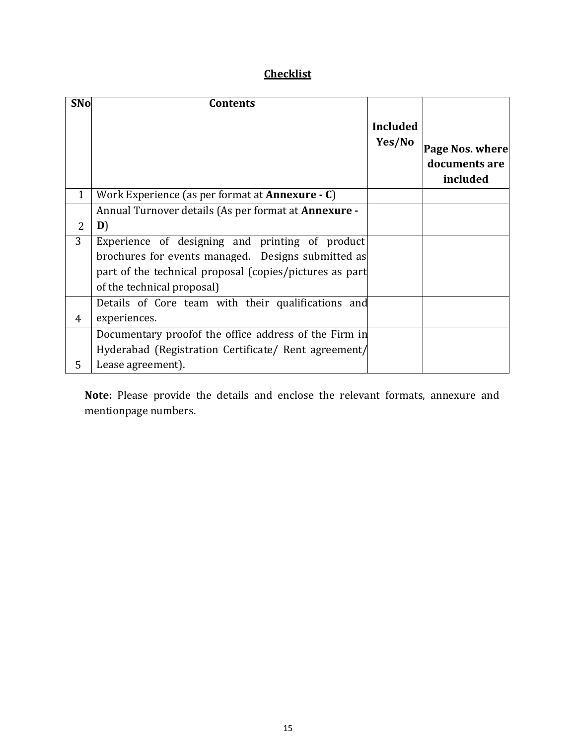# **Checklist**

| <b>SNo</b>     | <b>Contents</b>                                                      |                           |                                              |
|----------------|----------------------------------------------------------------------|---------------------------|----------------------------------------------|
|                |                                                                      | <b>Included</b><br>Yes/No | Page Nos. where<br>documents are<br>included |
| $\mathbf{1}$   | Work Experience (as per format at <b>Annexure</b> $\cdot$ <b>C</b> ) |                           |                                              |
|                | Annual Turnover details (As per format at <b>Annexure</b> -          |                           |                                              |
| 2              | D)                                                                   |                           |                                              |
| 3              | Experience of designing and printing of product                      |                           |                                              |
|                | brochures for events managed. Designs submitted as                   |                           |                                              |
|                | part of the technical proposal (copies/pictures as part              |                           |                                              |
|                | of the technical proposal)                                           |                           |                                              |
|                | Details of Core team with their qualifications and                   |                           |                                              |
| $\overline{4}$ | experiences.                                                         |                           |                                              |
|                | Documentary proof the office address of the Firm in                  |                           |                                              |
|                | Hyderabad (Registration Certificate/ Rent agreement/                 |                           |                                              |
| 5              | Lease agreement).                                                    |                           |                                              |

**Note:** Please provide the details and enclose the relevant formats, annexure and mentionpage numbers.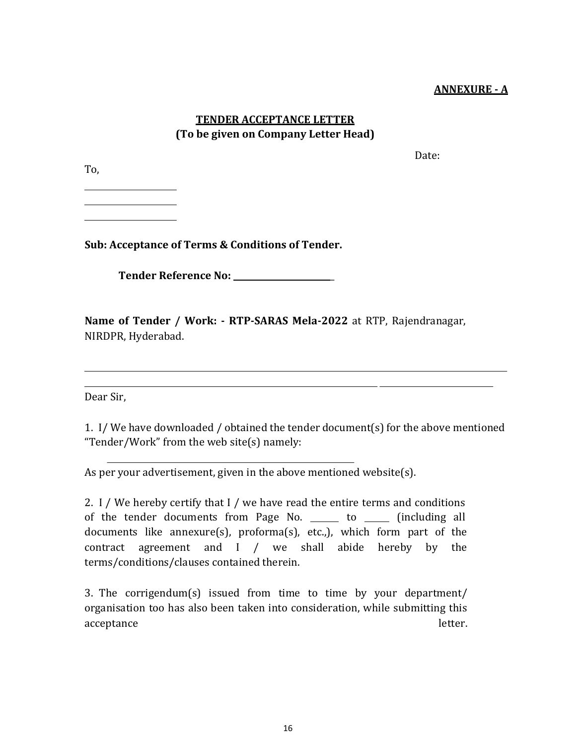#### **ANNEXURE - A**

## **TENDER ACCEPTANCE LETTER (To be given on Company Letter Head)**

To,

Date:

**Sub: Acceptance of Terms & Conditions of Tender.**

**Tender Reference No:** \_

**Name of Tender / Work: - RTP-SARAS Mela-2022** at RTP, Rajendranagar, NIRDPR, Hyderabad.

Dear Sir,

1. I/ We have downloaded / obtained the tender document(s) for the above mentioned "Tender/Work" from the web site(s) namely:

As per your advertisement, given in the above mentioned website(s).

2. I / We hereby certify that I / we have read the entire terms and conditions of the tender documents from Page No. \_\_\_\_\_ to \_\_\_\_\_ (including all documents like annexure(s), proforma(s), etc.,), which form part of the contract agreement and I / we shall abide hereby by the terms/conditions/clauses contained therein.

3. The corrigendum(s) issued from time to time by your department/ organisation too has also been taken into consideration, while submitting this acceptance letter.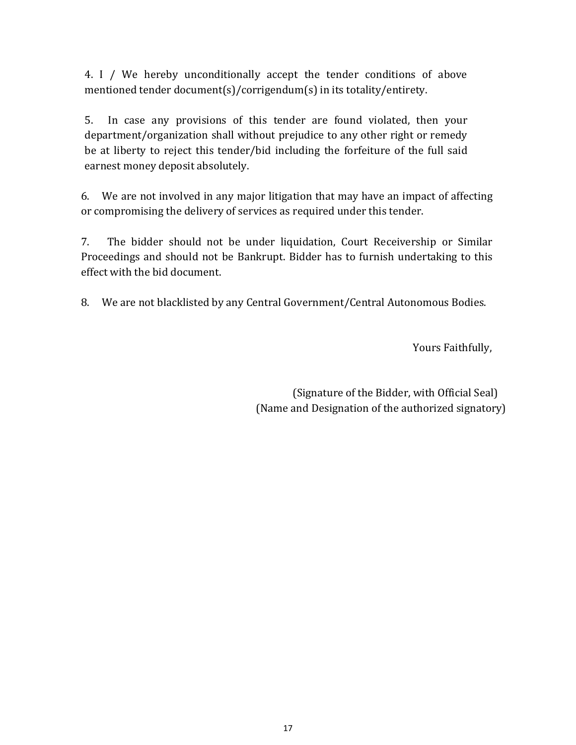4. I / We hereby unconditionally accept the tender conditions of above mentioned tender document(s)/corrigendum(s) in its totality/entirety.

5. In case any provisions of this tender are found violated, then your department/organization shall without prejudice to any other right or remedy be at liberty to reject this tender/bid including the forfeiture of the full said earnest money deposit absolutely.

6. We are not involved in any major litigation that may have an impact of affecting or compromising the delivery of services as required under this tender.

7. The bidder should not be under liquidation, Court Receivership or Similar Proceedings and should not be Bankrupt. Bidder has to furnish undertaking to this effect with the bid document.

8. We are not blacklisted by any Central Government/Central Autonomous Bodies.

Yours Faithfully,

(Signature of the Bidder, with Official Seal) (Name and Designation of the authorized signatory)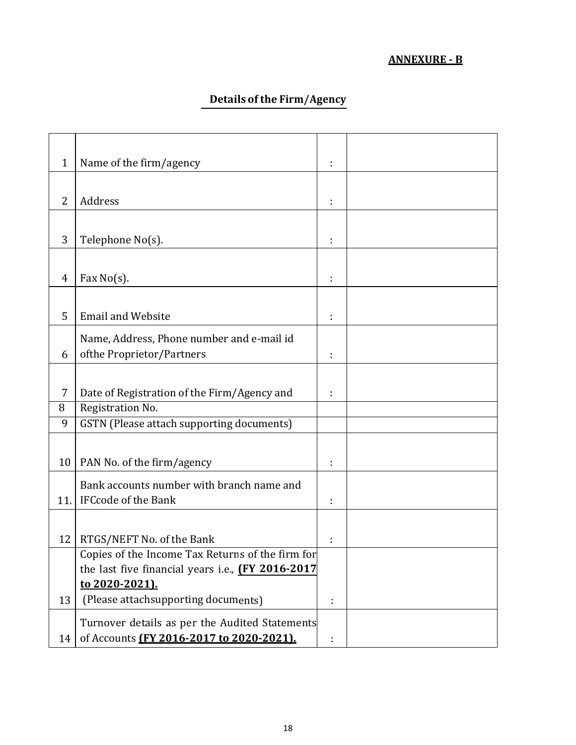# **ANNEXURE - B**

# **Details of the Firm/Agency**

| $\mathbf{1}$   | Name of the firm/agency                            |   |  |
|----------------|----------------------------------------------------|---|--|
|                |                                                    |   |  |
| $\overline{2}$ | Address                                            |   |  |
|                |                                                    |   |  |
| 3              | Telephone No(s).                                   |   |  |
|                |                                                    |   |  |
| 4              | Fax $No(s)$ .                                      |   |  |
|                |                                                    |   |  |
| 5              | <b>Email and Website</b>                           |   |  |
|                | Name, Address, Phone number and e-mail id          |   |  |
| 6              | ofthe Proprietor/Partners                          |   |  |
|                |                                                    |   |  |
| 7              | Date of Registration of the Firm/Agency and        |   |  |
| 8              | Registration No.                                   |   |  |
| 9              | GSTN (Please attach supporting documents)          |   |  |
|                |                                                    |   |  |
| 10             | PAN No. of the firm/agency                         | ÷ |  |
|                | Bank accounts number with branch name and          |   |  |
| 11.            | <b>IFCcode of the Bank</b>                         | ÷ |  |
|                |                                                    |   |  |
| 12             | RTGS/NEFT No. of the Bank                          |   |  |
|                | Copies of the Income Tax Returns of the firm for   |   |  |
|                | the last five financial years i.e., (FY 2016-2017) |   |  |
|                | to 2020-2021).                                     |   |  |
| 13             | (Please attachsupporting documents)                |   |  |
|                | Turnover details as per the Audited Statements     |   |  |
| 14             | of Accounts (FY 2016-2017 to 2020-2021).           |   |  |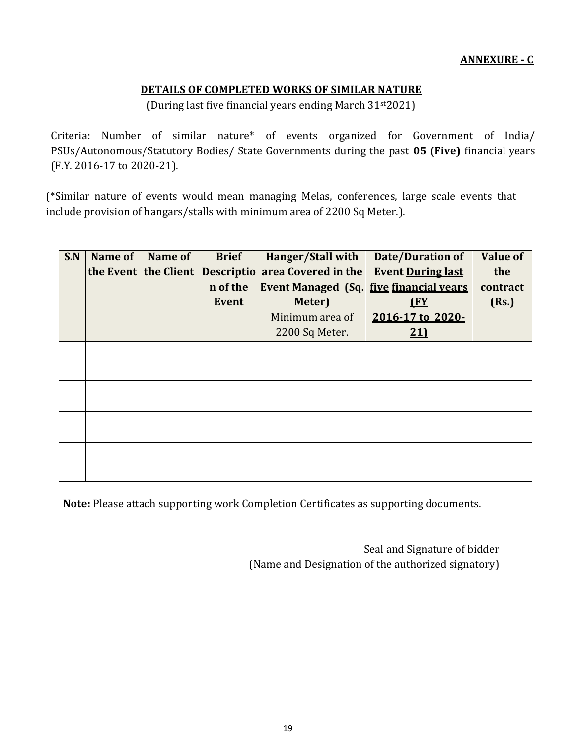## **DETAILS OF COMPLETED WORKS OF SIMILAR NATURE**

(During last five financial years ending March 31st2021)

Criteria: Number of similar nature\* of events organized for Government of India/ PSUs/Autonomous/Statutory Bodies/ State Governments during the past **05 (Five)** financial years (F.Y. 2016-17 to 2020-21).

(\*Similar nature of events would mean managing Melas, conferences, large scale events that include provision of hangars/stalls with minimum area of 2200 Sq Meter.).

| S.N | Name of | Name of              | <b>Brief</b> | Hanger/Stall with                              | <b>Date/Duration of</b>  | <b>Value of</b> |
|-----|---------|----------------------|--------------|------------------------------------------------|--------------------------|-----------------|
|     |         | the Event the Client |              | Descriptio area Covered in the                 | <b>Event During last</b> | the             |
|     |         |                      | n of the     | <b>Event Managed (Sq. five financial vears</b> |                          | contract        |
|     |         |                      | <b>Event</b> | Meter)                                         | <u>(FY</u>               | (Rs.)           |
|     |         |                      |              | Minimum area of                                | 2016-17 to 2020-         |                 |
|     |         |                      |              | 2200 Sq Meter.                                 | 21                       |                 |
|     |         |                      |              |                                                |                          |                 |
|     |         |                      |              |                                                |                          |                 |
|     |         |                      |              |                                                |                          |                 |
|     |         |                      |              |                                                |                          |                 |
|     |         |                      |              |                                                |                          |                 |
|     |         |                      |              |                                                |                          |                 |
|     |         |                      |              |                                                |                          |                 |
|     |         |                      |              |                                                |                          |                 |
|     |         |                      |              |                                                |                          |                 |

**Note:** Please attach supporting work Completion Certificates as supporting documents.

Seal and Signature of bidder (Name and Designation of the authorized signatory)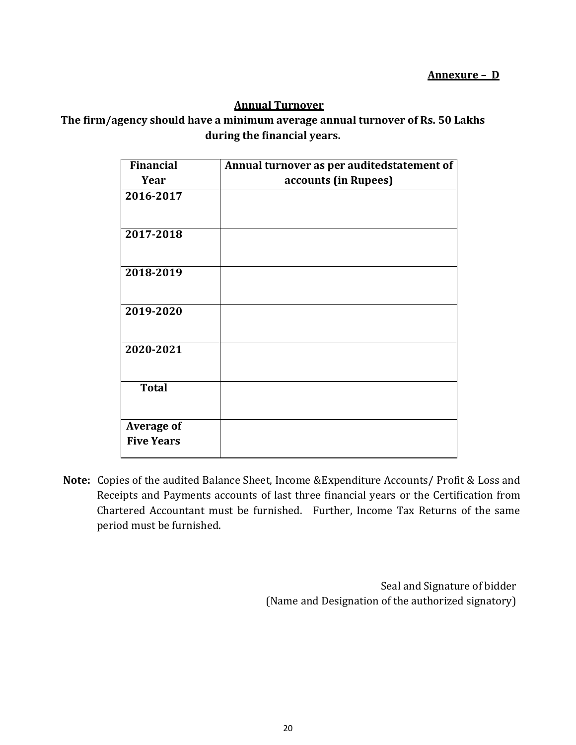## **Annual Turnover**

## **The firm/agency should have a minimum average annual turnover of Rs. 50 Lakhs during the financial years.**

| <b>Financial</b>                       | Annual turnover as per auditedstatement of |
|----------------------------------------|--------------------------------------------|
| Year                                   | accounts (in Rupees)                       |
| 2016-2017                              |                                            |
| 2017-2018                              |                                            |
| 2018-2019                              |                                            |
| 2019-2020                              |                                            |
| 2020-2021                              |                                            |
| <b>Total</b>                           |                                            |
| <b>Average of</b><br><b>Five Years</b> |                                            |

**Note:** Copies of the audited Balance Sheet, Income &Expenditure Accounts/ Profit & Loss and Receipts and Payments accounts of last three financial years or the Certification from Chartered Accountant must be furnished. Further, Income Tax Returns of the same period must be furnished.

> Seal and Signature of bidder (Name and Designation of the authorized signatory)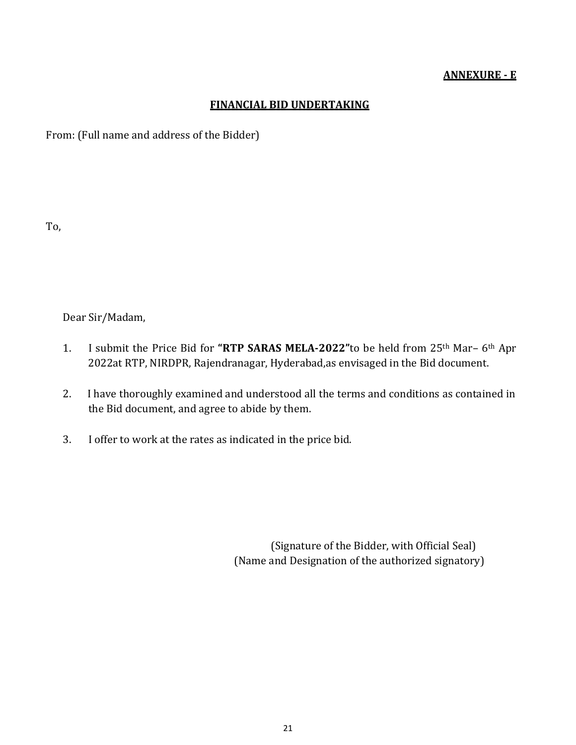#### **ANNEXURE - E**

#### **FINANCIAL BID UNDERTAKING**

From: (Full name and address of the Bidder)

To,

Dear Sir/Madam,

- 1. I submit the Price Bid for **"RTP SARAS MELA-2022"**to be held from 25th Mar– 6th Apr 2022at RTP, NIRDPR, Rajendranagar, Hyderabad,as envisaged in the Bid document.
- 2. I have thoroughly examined and understood all the terms and conditions as contained in the Bid document, and agree to abide by them.
- 3. I offer to work at the rates as indicated in the price bid.

(Signature of the Bidder, with Official Seal) (Name and Designation of the authorized signatory)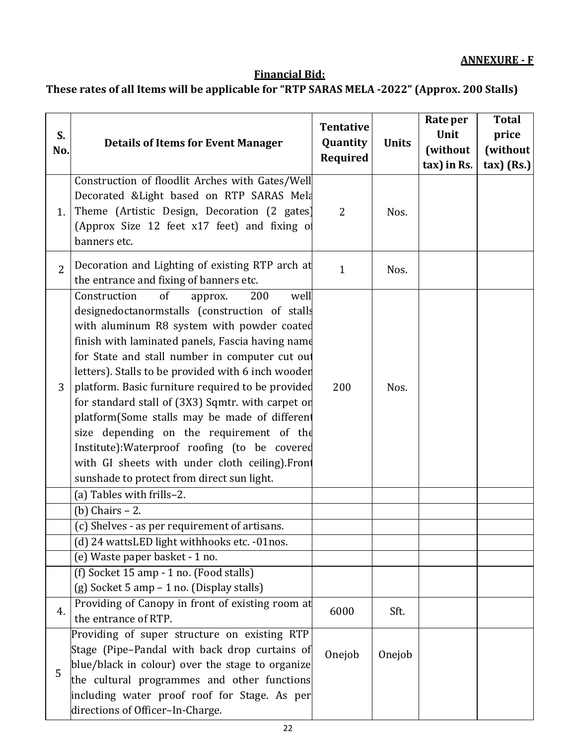# **Financial Bid:**

# **These rates of all Items will be applicable for "RTP SARAS MELA -2022" (Approx. 200 Stalls)**

| S.<br>No.      | <b>Details of Items for Event Manager</b>                                                                                                                                                                                                                                                                                                                                                                                                                                                                                                                                                                                                                                                     | <b>Tentative</b><br>Quantity | <b>Units</b> | Rate per<br>Unit<br>(without | <b>Total</b><br>price<br>(without |
|----------------|-----------------------------------------------------------------------------------------------------------------------------------------------------------------------------------------------------------------------------------------------------------------------------------------------------------------------------------------------------------------------------------------------------------------------------------------------------------------------------------------------------------------------------------------------------------------------------------------------------------------------------------------------------------------------------------------------|------------------------------|--------------|------------------------------|-----------------------------------|
|                |                                                                                                                                                                                                                                                                                                                                                                                                                                                                                                                                                                                                                                                                                               | Required                     |              | tax) in Rs.                  | $\max$ (Rs.)                      |
| 1.             | Construction of floodlit Arches with Gates/Well<br>Decorated & Light based on RTP SARAS Mela<br>Theme (Artistic Design, Decoration (2 gates)<br>(Approx Size 12 feet x17 feet) and fixing of<br>banners etc.                                                                                                                                                                                                                                                                                                                                                                                                                                                                                  | $\overline{2}$               | Nos.         |                              |                                   |
| $\overline{2}$ | Decoration and Lighting of existing RTP arch at<br>the entrance and fixing of banners etc.                                                                                                                                                                                                                                                                                                                                                                                                                                                                                                                                                                                                    | $\mathbf{1}$                 | Nos.         |                              |                                   |
| 3              | Construction<br>of<br>200<br>well<br>approx.<br>designedoctanormstalls (construction of stalls<br>with aluminum R8 system with powder coated<br>finish with laminated panels, Fascia having name<br>for State and stall number in computer cut out<br>letters). Stalls to be provided with 6 inch wooder<br>platform. Basic furniture required to be provided<br>for standard stall of (3X3) Sqmtr. with carpet on<br>platform(Some stalls may be made of different<br>size depending on the requirement of the<br>Institute): Waterproof roofing (to be covered<br>with GI sheets with under cloth ceiling).Front<br>sunshade to protect from direct sun light.<br>(a) Tables with frills-2. | 200                          | Nos.         |                              |                                   |
|                | $(b)$ Chairs $-2$ .                                                                                                                                                                                                                                                                                                                                                                                                                                                                                                                                                                                                                                                                           |                              |              |                              |                                   |
|                | (c) Shelves - as per requirement of artisans.                                                                                                                                                                                                                                                                                                                                                                                                                                                                                                                                                                                                                                                 |                              |              |                              |                                   |
|                | (d) 24 wattsLED light withhooks etc. -01nos.                                                                                                                                                                                                                                                                                                                                                                                                                                                                                                                                                                                                                                                  |                              |              |                              |                                   |
|                | (e) Waste paper basket - 1 no.                                                                                                                                                                                                                                                                                                                                                                                                                                                                                                                                                                                                                                                                |                              |              |                              |                                   |
|                | (f) Socket 15 amp - 1 no. (Food stalls)<br>(g) Socket 5 amp - 1 no. (Display stalls)                                                                                                                                                                                                                                                                                                                                                                                                                                                                                                                                                                                                          |                              |              |                              |                                   |
| 4.             | Providing of Canopy in front of existing room at<br>the entrance of RTP.                                                                                                                                                                                                                                                                                                                                                                                                                                                                                                                                                                                                                      | 6000                         | Sft.         |                              |                                   |
| 5              | Providing of super structure on existing RTP<br>Stage (Pipe-Pandal with back drop curtains of<br>blue/black in colour) over the stage to organize<br>the cultural programmes and other functions<br>including water proof roof for Stage. As per<br>directions of Officer-In-Charge.                                                                                                                                                                                                                                                                                                                                                                                                          | Onejob                       | Onejob       |                              |                                   |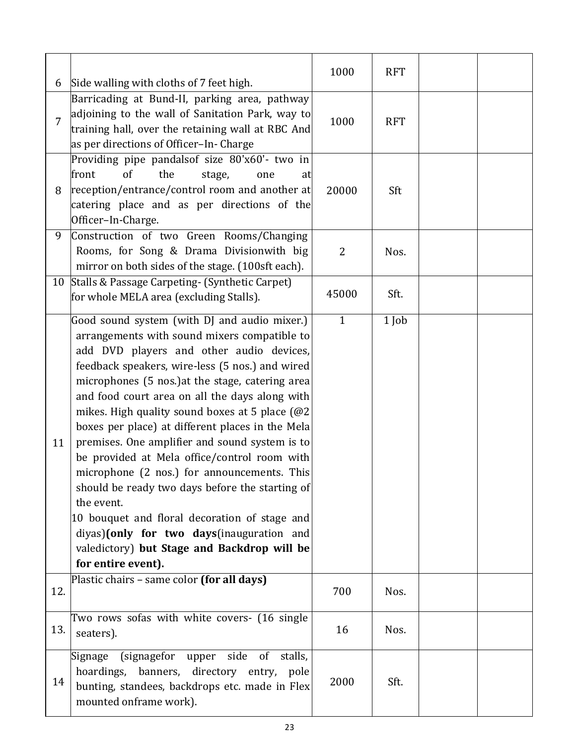| 6   | Side walling with cloths of 7 feet high.                                                                                                                                                                                                                                                                                                                                                                                                                                                                                                                                                                                                                                                                                                                                                        | 1000           | <b>RFT</b> |  |
|-----|-------------------------------------------------------------------------------------------------------------------------------------------------------------------------------------------------------------------------------------------------------------------------------------------------------------------------------------------------------------------------------------------------------------------------------------------------------------------------------------------------------------------------------------------------------------------------------------------------------------------------------------------------------------------------------------------------------------------------------------------------------------------------------------------------|----------------|------------|--|
| 7   | Barricading at Bund-II, parking area, pathway<br>adjoining to the wall of Sanitation Park, way to<br>training hall, over the retaining wall at RBC And<br>as per directions of Officer-In- Charge                                                                                                                                                                                                                                                                                                                                                                                                                                                                                                                                                                                               | 1000           | <b>RFT</b> |  |
| 8   | Providing pipe pandalsof size 80'x60'- two in<br>of<br>the<br>front<br>stage,<br>one<br>at<br>reception/entrance/control room and another at<br>catering place and as per directions of the<br>Officer-In-Charge.                                                                                                                                                                                                                                                                                                                                                                                                                                                                                                                                                                               | 20000          | Sft        |  |
| 9   | Construction of two Green Rooms/Changing<br>Rooms, for Song & Drama Divisionwith big<br>mirror on both sides of the stage. (100sft each).                                                                                                                                                                                                                                                                                                                                                                                                                                                                                                                                                                                                                                                       | $\overline{2}$ | Nos.       |  |
| 10  | Stalls & Passage Carpeting- (Synthetic Carpet)<br>for whole MELA area (excluding Stalls).                                                                                                                                                                                                                                                                                                                                                                                                                                                                                                                                                                                                                                                                                                       | 45000          | Sft.       |  |
| 11  | Good sound system (with DJ and audio mixer.)<br>arrangements with sound mixers compatible to<br>add DVD players and other audio devices,<br>feedback speakers, wire-less (5 nos.) and wired<br>microphones (5 nos.) at the stage, catering area<br>and food court area on all the days along with<br>mikes. High quality sound boxes at 5 place $(@2)$<br>boxes per place) at different places in the Mela<br>premises. One amplifier and sound system is to<br>be provided at Mela office/control room with<br>microphone (2 nos.) for announcements. This<br>should be ready two days before the starting of<br>the event.<br>10 bouquet and floral decoration of stage and<br>diyas)(only for two days(inauguration and<br>valedictory) but Stage and Backdrop will be<br>for entire event). | $\mathbf{1}$   | 1 Job      |  |
| 12. | Plastic chairs - same color (for all days)                                                                                                                                                                                                                                                                                                                                                                                                                                                                                                                                                                                                                                                                                                                                                      | 700            | Nos.       |  |
| 13. | Two rows sofas with white covers- (16 single<br>seaters).                                                                                                                                                                                                                                                                                                                                                                                                                                                                                                                                                                                                                                                                                                                                       | 16             | Nos.       |  |
| 14  | (signagefor<br>side<br>of stalls,<br>Signage<br>upper<br>hoardings, banners, directory entry, pole<br>bunting, standees, backdrops etc. made in Flex<br>mounted onframe work).                                                                                                                                                                                                                                                                                                                                                                                                                                                                                                                                                                                                                  | 2000           | Sft.       |  |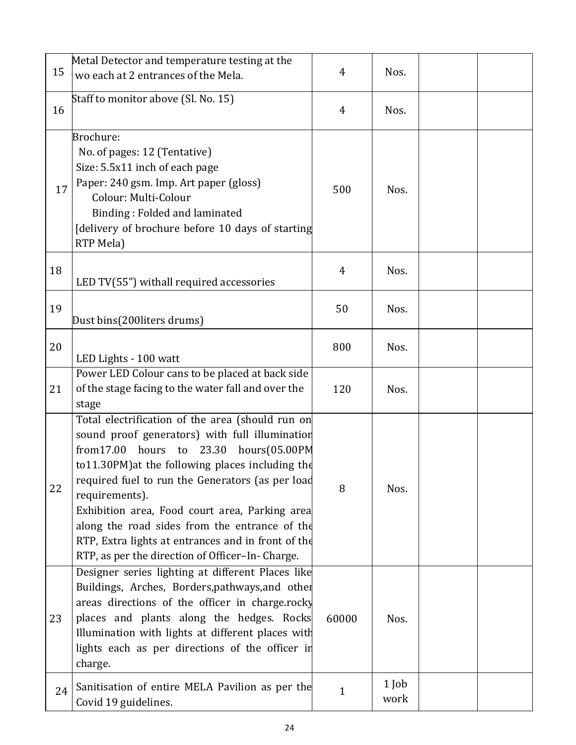| 15 | Metal Detector and temperature testing at the<br>wo each at 2 entrances of the Mela.                                                                                                                                                                                                                                                                                                                                                                                                        | 4              | Nos.            |  |
|----|---------------------------------------------------------------------------------------------------------------------------------------------------------------------------------------------------------------------------------------------------------------------------------------------------------------------------------------------------------------------------------------------------------------------------------------------------------------------------------------------|----------------|-----------------|--|
| 16 | Staff to monitor above (Sl. No. 15)                                                                                                                                                                                                                                                                                                                                                                                                                                                         | $\overline{4}$ | Nos.            |  |
| 17 | Brochure:<br>No. of pages: 12 (Tentative)<br>Size: 5.5x11 inch of each page<br>Paper: 240 gsm. Imp. Art paper (gloss)<br>Colour: Multi-Colour<br>Binding: Folded and laminated<br>[delivery of brochure before 10 days of starting<br>RTP Mela)                                                                                                                                                                                                                                             | 500            | Nos.            |  |
| 18 | LED TV(55") withall required accessories                                                                                                                                                                                                                                                                                                                                                                                                                                                    | 4              | Nos.            |  |
| 19 | Dust bins(200liters drums)                                                                                                                                                                                                                                                                                                                                                                                                                                                                  | 50             | Nos.            |  |
| 20 | LED Lights - 100 watt                                                                                                                                                                                                                                                                                                                                                                                                                                                                       | 800            | Nos.            |  |
| 21 | Power LED Colour cans to be placed at back side<br>of the stage facing to the water fall and over the<br>stage                                                                                                                                                                                                                                                                                                                                                                              | 120            | Nos.            |  |
| 22 | Total electrification of the area (should run on<br>sound proof generators) with full illumination<br>from17.00<br>hours(05.00PM<br>hours to<br>23.30<br>to11.30PM) at the following places including the<br>required fuel to run the Generators (as per load<br>requirements).<br>Exhibition area, Food court area, Parking area<br>along the road sides from the entrance of the<br>RTP, Extra lights at entrances and in front of the<br>RTP, as per the direction of Officer-In-Charge. | 8              | Nos.            |  |
| 23 | Designer series lighting at different Places like<br>Buildings, Arches, Borders, pathways, and other<br>areas directions of the officer in charge.rocky<br>places and plants along the hedges. Rocks<br>Illumination with lights at different places with<br>lights each as per directions of the officer in<br>charge.                                                                                                                                                                     | 60000          | Nos.            |  |
| 24 | Sanitisation of entire MELA Pavilion as per the<br>Covid 19 guidelines.                                                                                                                                                                                                                                                                                                                                                                                                                     | $\mathbf{1}$   | $1$ Job<br>work |  |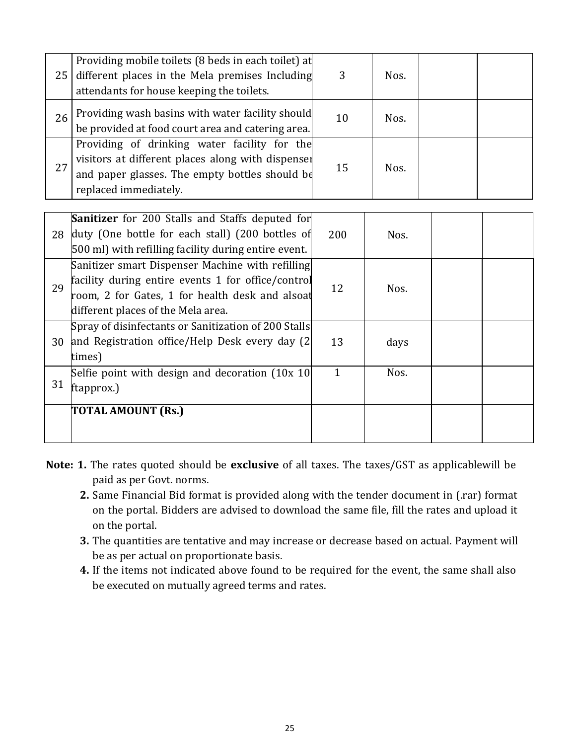| 25 | Providing mobile toilets (8 beds in each toilet) at<br>different places in the Mela premises Including<br>attendants for house keeping the toilets.                          | 3  | Nos. |  |
|----|------------------------------------------------------------------------------------------------------------------------------------------------------------------------------|----|------|--|
| 26 | Providing wash basins with water facility should<br>be provided at food court area and catering area.                                                                        | 10 | Nos. |  |
| 27 | Providing of drinking water facility for the<br>visitors at different places along with dispenser<br>and paper glasses. The empty bottles should be<br>replaced immediately. | 15 | Nos. |  |
|    | <b>Sanitizer</b> for 200 Stalls and Staffs deputed for                                                                                                                       |    |      |  |

| 28 | <b>Sanitizer</b> for 200 Stalls and Staffs deputed for<br>duty (One bottle for each stall) (200 bottles of<br>500 ml) with refilling facility during entire event.                              | 200          | Nos. |  |
|----|-------------------------------------------------------------------------------------------------------------------------------------------------------------------------------------------------|--------------|------|--|
| 29 | Sanitizer smart Dispenser Machine with refilling<br>facility during entire events 1 for office/control<br>room, 2 for Gates, 1 for health desk and alsoat<br>different places of the Mela area. | 12           | Nos. |  |
| 30 | Spray of disinfectants or Sanitization of 200 Stalls<br>and Registration office/Help Desk every day (2)<br>times)                                                                               | 13           | days |  |
| 31 | Selfie point with design and decoration (10x 10)<br>ftapprox.)                                                                                                                                  | $\mathbf{1}$ | Nos. |  |
|    | TOTAL AMOUNT (Rs.)                                                                                                                                                                              |              |      |  |

- **Note: 1.** The rates quoted should be **exclusive** of all taxes. The taxes/GST as applicablewill be paid as per Govt. norms.
	- **2.** Same Financial Bid format is provided along with the tender document in (.rar) format on the portal. Bidders are advised to download the same file, fill the rates and upload it on the portal.
	- **3.** The quantities are tentative and may increase or decrease based on actual. Payment will be as per actual on proportionate basis.
	- **4.** If the items not indicated above found to be required for the event, the same shall also be executed on mutually agreed terms and rates.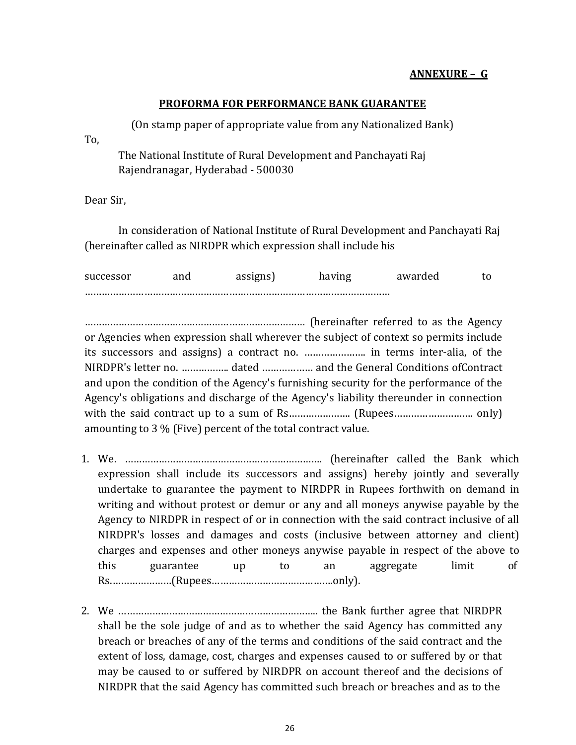### **ANNEXURE – G**

#### **PROFORMA FOR PERFORMANCE BANK GUARANTEE**

(On stamp paper of appropriate value from any Nationalized Bank) The National Institute of Rural Development and Panchayati Raj

Rajendranagar, Hyderabad - 500030

Dear Sir,

To,

In consideration of National Institute of Rural Development and Panchayati Raj (hereinafter called as NIRDPR which expression shall include his

| successor | anu | 110.3115 | awarded |  |
|-----------|-----|----------|---------|--|
|           |     |          |         |  |

…………………………………………………………………… (hereinafter referred to as the Agency or Agencies when expression shall wherever the subject of context so permits include its successors and assigns) a contract no. …………………. in terms inter-alia, of the NIRDPR's letter no. …………….. dated ……………… and the General Conditions ofContract and upon the condition of the Agency's furnishing security for the performance of the Agency's obligations and discharge of the Agency's liability thereunder in connection with the said contract up to a sum of Rs…………………. (Rupees………………………. only) amounting to 3 % (Five) percent of the total contract value.

- this guarantee up to an aggregate limit Rs.…………………(Rupees…………………………………….only). of 1. We. ……………………………………………………………. (hereinafter called the Bank which expression shall include its successors and assigns) hereby jointly and severally undertake to guarantee the payment to NIRDPR in Rupees forthwith on demand in writing and without protest or demur or any and all moneys anywise payable by the Agency to NIRDPR in respect of or in connection with the said contract inclusive of all NIRDPR's losses and damages and costs (inclusive between attorney and client) charges and expenses and other moneys anywise payable in respect of the above to
- 2. We …………………………………………………………….. the Bank further agree that NIRDPR shall be the sole judge of and as to whether the said Agency has committed any breach or breaches of any of the terms and conditions of the said contract and the extent of loss, damage, cost, charges and expenses caused to or suffered by or that may be caused to or suffered by NIRDPR on account thereof and the decisions of NIRDPR that the said Agency has committed such breach or breaches and as to the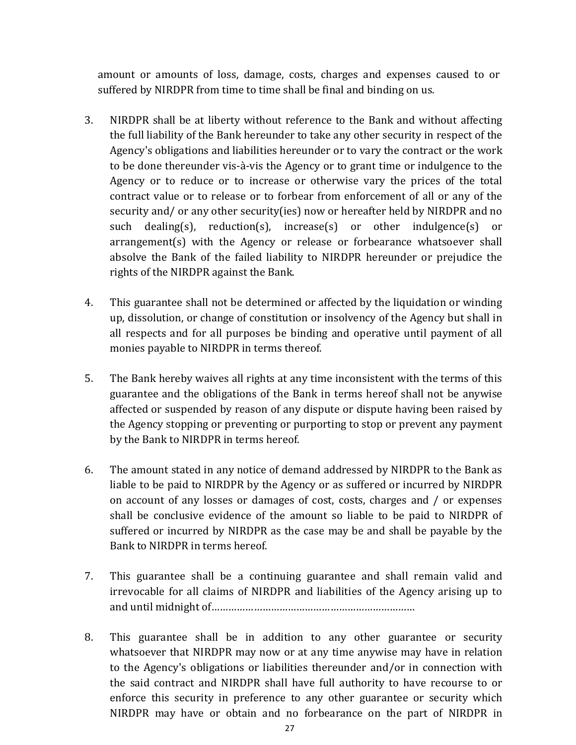amount or amounts of loss, damage, costs, charges and expenses caused to or suffered by NIRDPR from time to time shall be final and binding on us.

- 3. NIRDPR shall be at liberty without reference to the Bank and without affecting the full liability of the Bank hereunder to take any other security in respect of the Agency's obligations and liabilities hereunder or to vary the contract or the work to be done thereunder vis-à-vis the Agency or to grant time or indulgence to the Agency or to reduce or to increase or otherwise vary the prices of the total contract value or to release or to forbear from enforcement of all or any of the security and/ or any other security(ies) now or hereafter held by NIRDPR and no such dealing(s), reduction(s), increase(s) or other indulgence(s) or arrangement(s) with the Agency or release or forbearance whatsoever shall absolve the Bank of the failed liability to NIRDPR hereunder or prejudice the rights of the NIRDPR against the Bank.
- 4. This guarantee shall not be determined or affected by the liquidation or winding up, dissolution, or change of constitution or insolvency of the Agency but shall in all respects and for all purposes be binding and operative until payment of all monies payable to NIRDPR in terms thereof.
- 5. The Bank hereby waives all rights at any time inconsistent with the terms of this guarantee and the obligations of the Bank in terms hereof shall not be anywise affected or suspended by reason of any dispute or dispute having been raised by the Agency stopping or preventing or purporting to stop or prevent any payment by the Bank to NIRDPR in terms hereof.
- 6. The amount stated in any notice of demand addressed by NIRDPR to the Bank as liable to be paid to NIRDPR by the Agency or as suffered or incurred by NIRDPR on account of any losses or damages of cost, costs, charges and / or expenses shall be conclusive evidence of the amount so liable to be paid to NIRDPR of suffered or incurred by NIRDPR as the case may be and shall be payable by the Bank to NIRDPR in terms hereof.
- 7. This guarantee shall be a continuing guarantee and shall remain valid and irrevocable for all claims of NIRDPR and liabilities of the Agency arising up to and until midnight of………………………………………………………………
- 8. This guarantee shall be in addition to any other guarantee or security whatsoever that NIRDPR may now or at any time anywise may have in relation to the Agency's obligations or liabilities thereunder and/or in connection with the said contract and NIRDPR shall have full authority to have recourse to or enforce this security in preference to any other guarantee or security which NIRDPR may have or obtain and no forbearance on the part of NIRDPR in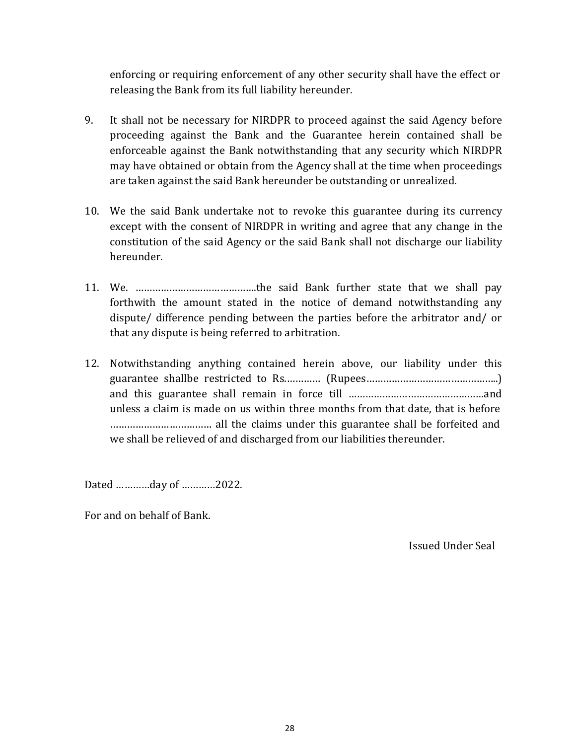enforcing or requiring enforcement of any other security shall have the effect or releasing the Bank from its full liability hereunder.

- 9. It shall not be necessary for NIRDPR to proceed against the said Agency before proceeding against the Bank and the Guarantee herein contained shall be enforceable against the Bank notwithstanding that any security which NIRDPR may have obtained or obtain from the Agency shall at the time when proceedings are taken against the said Bank hereunder be outstanding or unrealized.
- 10. We the said Bank undertake not to revoke this guarantee during its currency except with the consent of NIRDPR in writing and agree that any change in the constitution of the said Agency or the said Bank shall not discharge our liability hereunder.
- 11. We. …………………………………….the said Bank further state that we shall pay forthwith the amount stated in the notice of demand notwithstanding any dispute/ difference pending between the parties before the arbitrator and/ or that any dispute is being referred to arbitration.
- 12. Notwithstanding anything contained herein above, our liability under this guarantee shallbe restricted to Rs.………… (Rupees………………………………………..) and this guarantee shall remain in force till …………………………………………and unless a claim is made on us within three months from that date, that is before ……………………………… all the claims under this guarantee shall be forfeited and we shall be relieved of and discharged from our liabilities thereunder.

Dated …………day of …………2022.

For and on behalf of Bank.

Issued Under Seal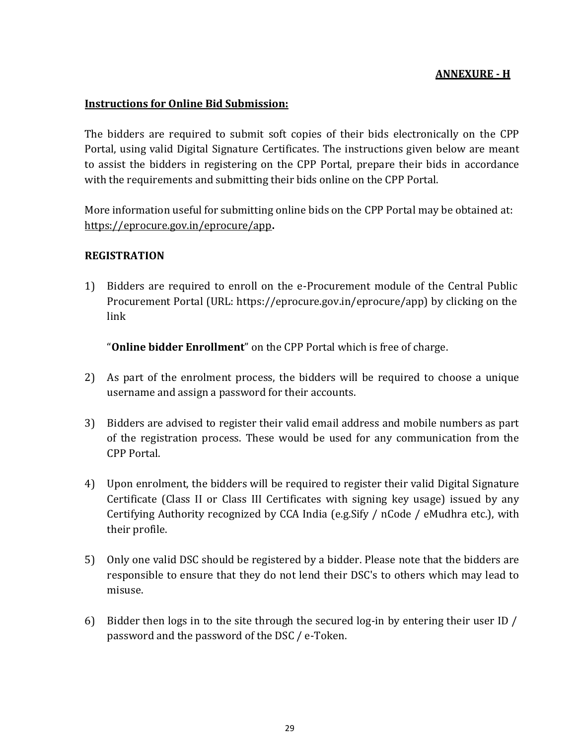#### **ANNEXURE - H**

#### **Instructions for Online Bid Submission:**

The bidders are required to submit soft copies of their bids electronically on the CPP Portal, using valid Digital Signature Certificates. The instructions given below are meant to assist the bidders in registering on the CPP Portal, prepare their bids in accordance with the requirements and submitting their bids online on the CPP Portal.

More information useful for submitting online bids on the CPP Portal may be obtained at: <https://eprocure.gov.in/eprocure/app>**.**

#### **REGISTRATION**

1) Bidders are required to enroll on the e-Procurement module of the Central Public Procurement Portal (URL: https://eprocure.gov.in/eprocure/app) by clicking on the link

"**Online bidder Enrollment**" on the CPP Portal which is free of charge.

- 2) As part of the enrolment process, the bidders will be required to choose a unique username and assign a password for their accounts.
- 3) Bidders are advised to register their valid email address and mobile numbers as part of the registration process. These would be used for any communication from the CPP Portal.
- 4) Upon enrolment, the bidders will be required to register their valid Digital Signature Certificate (Class II or Class III Certificates with signing key usage) issued by any Certifying Authority recognized by CCA India (e.g.Sify / nCode / eMudhra etc.), with their profile.
- 5) Only one valid DSC should be registered by a bidder. Please note that the bidders are responsible to ensure that they do not lend their DSC's to others which may lead to misuse.
- 6) Bidder then logs in to the site through the secured log-in by entering their user ID / password and the password of the DSC / e-Token.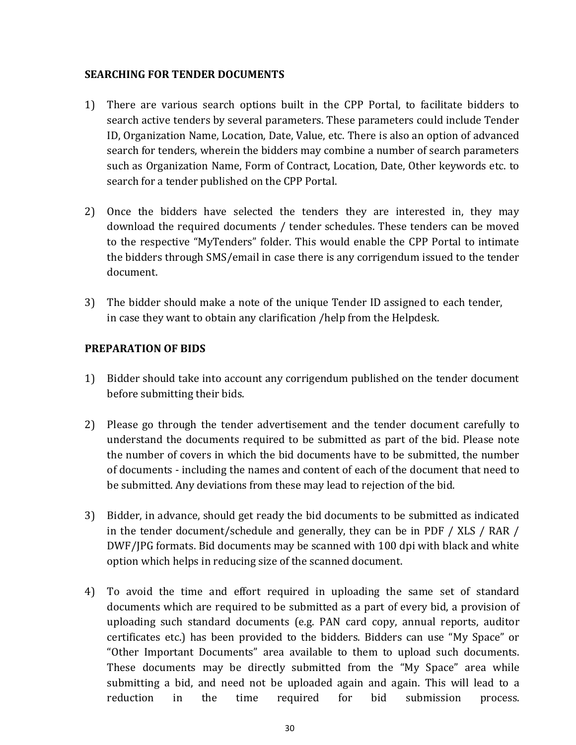#### **SEARCHING FOR TENDER DOCUMENTS**

- 1) There are various search options built in the CPP Portal, to facilitate bidders to search active tenders by several parameters. These parameters could include Tender ID, Organization Name, Location, Date, Value, etc. There is also an option of advanced search for tenders, wherein the bidders may combine a number of search parameters such as Organization Name, Form of Contract, Location, Date, Other keywords etc. to search for a tender published on the CPP Portal.
- 2) Once the bidders have selected the tenders they are interested in, they may download the required documents / tender schedules. These tenders can be moved to the respective "MyTenders" folder. This would enable the CPP Portal to intimate the bidders through SMS/email in case there is any corrigendum issued to the tender document.
- 3) The bidder should make a note of the unique Tender ID assigned to each tender, in case they want to obtain any clarification /help from the Helpdesk.

### **PREPARATION OF BIDS**

- 1) Bidder should take into account any corrigendum published on the tender document before submitting their bids.
- 2) Please go through the tender advertisement and the tender document carefully to understand the documents required to be submitted as part of the bid. Please note the number of covers in which the bid documents have to be submitted, the number of documents - including the names and content of each of the document that need to be submitted. Any deviations from these may lead to rejection of the bid.
- 3) Bidder, in advance, should get ready the bid documents to be submitted as indicated in the tender document/schedule and generally, they can be in PDF / XLS / RAR / DWF/JPG formats. Bid documents may be scanned with 100 dpi with black and white option which helps in reducing size of the scanned document.
- 4) To avoid the time and effort required in uploading the same set of standard documents which are required to be submitted as a part of every bid, a provision of uploading such standard documents (e.g. PAN card copy, annual reports, auditor certificates etc.) has been provided to the bidders. Bidders can use "My Space" or "Other Important Documents" area available to them to upload such documents. These documents may be directly submitted from the "My Space" area while submitting a bid, and need not be uploaded again and again. This will lead to a reduction in the time required for bid submission process.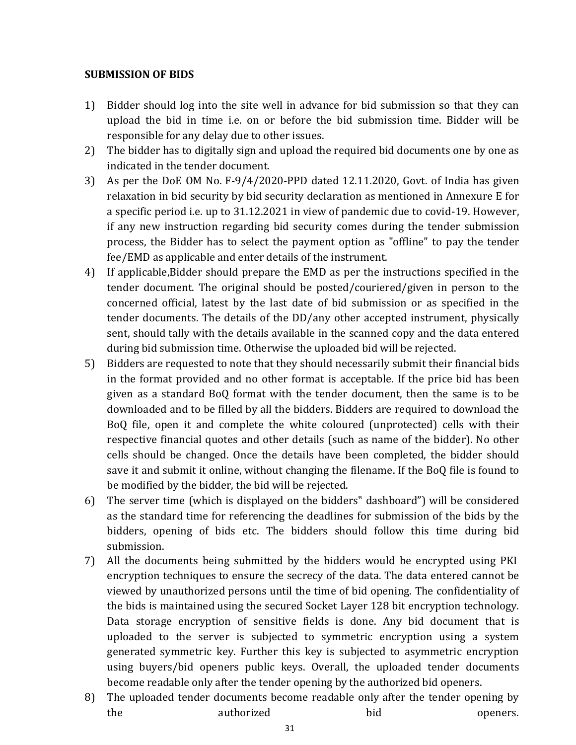#### **SUBMISSION OF BIDS**

- 1) Bidder should log into the site well in advance for bid submission so that they can upload the bid in time i.e. on or before the bid submission time. Bidder will be responsible for any delay due to other issues.
- 2) The bidder has to digitally sign and upload the required bid documents one by one as indicated in the tender document.
- 3) As per the DoE OM No. F-9/4/2020-PPD dated 12.11.2020, Govt. of India has given relaxation in bid security by bid security declaration as mentioned in Annexure E for a specific period i.e. up to 31.12.2021 in view of pandemic due to covid-19. However, if any new instruction regarding bid security comes during the tender submission process, the Bidder has to select the payment option as "offline" to pay the tender fee/EMD as applicable and enter details of the instrument.
- 4) If applicable,Bidder should prepare the EMD as per the instructions specified in the tender document. The original should be posted/couriered/given in person to the concerned official, latest by the last date of bid submission or as specified in the tender documents. The details of the DD/any other accepted instrument, physically sent, should tally with the details available in the scanned copy and the data entered during bid submission time. Otherwise the uploaded bid will be rejected.
- 5) Bidders are requested to note that they should necessarily submit their financial bids in the format provided and no other format is acceptable. If the price bid has been given as a standard BoQ format with the tender document, then the same is to be downloaded and to be filled by all the bidders. Bidders are required to download the BoQ file, open it and complete the white coloured (unprotected) cells with their respective financial quotes and other details (such as name of the bidder). No other cells should be changed. Once the details have been completed, the bidder should save it and submit it online, without changing the filename. If the BoQ file is found to be modified by the bidder, the bid will be rejected.
- 6) The server time (which is displayed on the bidders" dashboard") will be considered as the standard time for referencing the deadlines for submission of the bids by the bidders, opening of bids etc. The bidders should follow this time during bid submission.
- 7) All the documents being submitted by the bidders would be encrypted using PKI encryption techniques to ensure the secrecy of the data. The data entered cannot be viewed by unauthorized persons until the time of bid opening. The confidentiality of the bids is maintained using the secured Socket Layer 128 bit encryption technology. Data storage encryption of sensitive fields is done. Any bid document that is uploaded to the server is subjected to symmetric encryption using a system generated symmetric key. Further this key is subjected to asymmetric encryption using buyers/bid openers public keys. Overall, the uploaded tender documents become readable only after the tender opening by the authorized bid openers.
- 8) The uploaded tender documents become readable only after the tender opening by the authorized bid openers.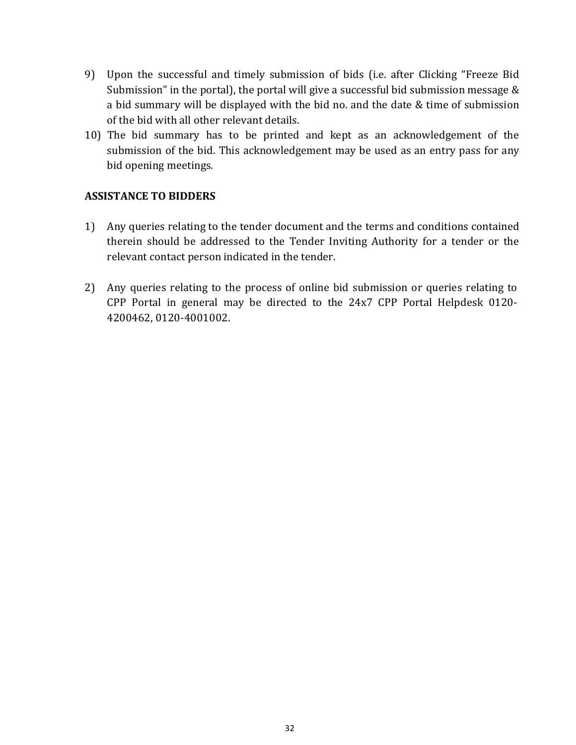- 9) Upon the successful and timely submission of bids (i.e. after Clicking "Freeze Bid Submission" in the portal), the portal will give a successful bid submission message & a bid summary will be displayed with the bid no. and the date & time of submission of the bid with all other relevant details.
- 10) The bid summary has to be printed and kept as an acknowledgement of the submission of the bid. This acknowledgement may be used as an entry pass for any bid opening meetings.

## **ASSISTANCE TO BIDDERS**

- 1) Any queries relating to the tender document and the terms and conditions contained therein should be addressed to the Tender Inviting Authority for a tender or the relevant contact person indicated in the tender.
- 2) Any queries relating to the process of online bid submission or queries relating to CPP Portal in general may be directed to the 24x7 CPP Portal Helpdesk 0120- 4200462, 0120-4001002.